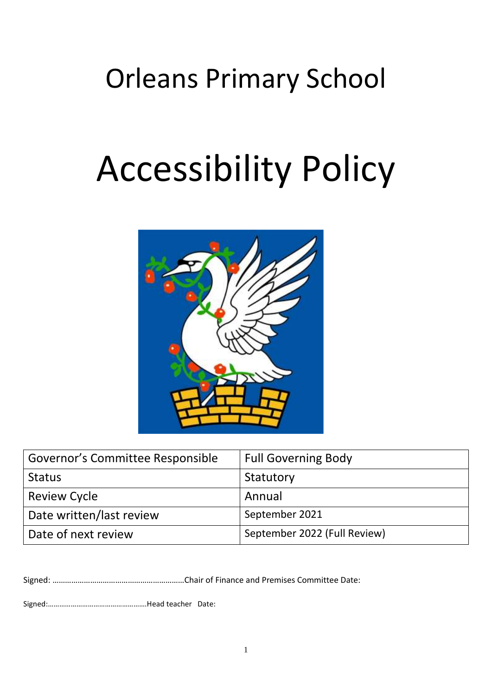# Orleans Primary School

# Accessibility Policy



| Governor's Committee Responsible | <b>Full Governing Body</b>   |
|----------------------------------|------------------------------|
| <b>Status</b>                    | Statutory                    |
| <b>Review Cycle</b>              | Annual                       |
| Date written/last review         | September 2021               |
| Date of next review              | September 2022 (Full Review) |

Signed: ………………………………………………………Chair of Finance and Premises Committee Date:

Signed:…………………………………………….Head teacher Date: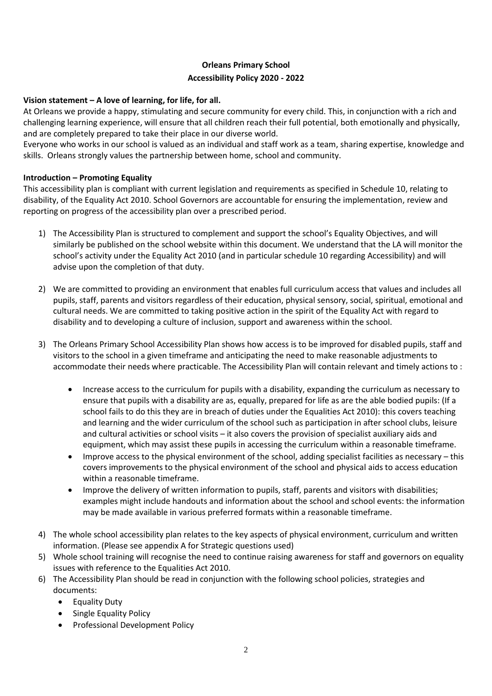# **Orleans Primary School Accessibility Policy 2020 - 2022**

### **Vision statement – A love of learning, for life, for all.**

At Orleans we provide a happy, stimulating and secure community for every child. This, in conjunction with a rich and challenging learning experience, will ensure that all children reach their full potential, both emotionally and physically, and are completely prepared to take their place in our diverse world.

Everyone who works in our school is valued as an individual and staff work as a team, sharing expertise, knowledge and skills. Orleans strongly values the partnership between home, school and community.

### **Introduction – Promoting Equality**

This accessibility plan is compliant with current legislation and requirements as specified in Schedule 10, relating to disability, of the Equality Act 2010. School Governors are accountable for ensuring the implementation, review and reporting on progress of the accessibility plan over a prescribed period.

- 1) The Accessibility Plan is structured to complement and support the school's Equality Objectives, and will similarly be published on the school website within this document. We understand that the LA will monitor the school's activity under the Equality Act 2010 (and in particular schedule 10 regarding Accessibility) and will advise upon the completion of that duty.
- 2) We are committed to providing an environment that enables full curriculum access that values and includes all pupils, staff, parents and visitors regardless of their education, physical sensory, social, spiritual, emotional and cultural needs. We are committed to taking positive action in the spirit of the Equality Act with regard to disability and to developing a culture of inclusion, support and awareness within the school.
- 3) The Orleans Primary School Accessibility Plan shows how access is to be improved for disabled pupils, staff and visitors to the school in a given timeframe and anticipating the need to make reasonable adjustments to accommodate their needs where practicable. The Accessibility Plan will contain relevant and timely actions to :
	- Increase access to the curriculum for pupils with a disability, expanding the curriculum as necessary to ensure that pupils with a disability are as, equally, prepared for life as are the able bodied pupils: (If a school fails to do this they are in breach of duties under the Equalities Act 2010): this covers teaching and learning and the wider curriculum of the school such as participation in after school clubs, leisure and cultural activities or school visits – it also covers the provision of specialist auxiliary aids and equipment, which may assist these pupils in accessing the curriculum within a reasonable timeframe.
	- Improve access to the physical environment of the school, adding specialist facilities as necessary this covers improvements to the physical environment of the school and physical aids to access education within a reasonable timeframe.
	- Improve the delivery of written information to pupils, staff, parents and visitors with disabilities; examples might include handouts and information about the school and school events: the information may be made available in various preferred formats within a reasonable timeframe.
- 4) The whole school accessibility plan relates to the key aspects of physical environment, curriculum and written information. (Please see appendix A for Strategic questions used)
- 5) Whole school training will recognise the need to continue raising awareness for staff and governors on equality issues with reference to the Equalities Act 2010.
- 6) The Accessibility Plan should be read in conjunction with the following school policies, strategies and documents:
	- Equality Duty
	- Single Equality Policy
	- Professional Development Policy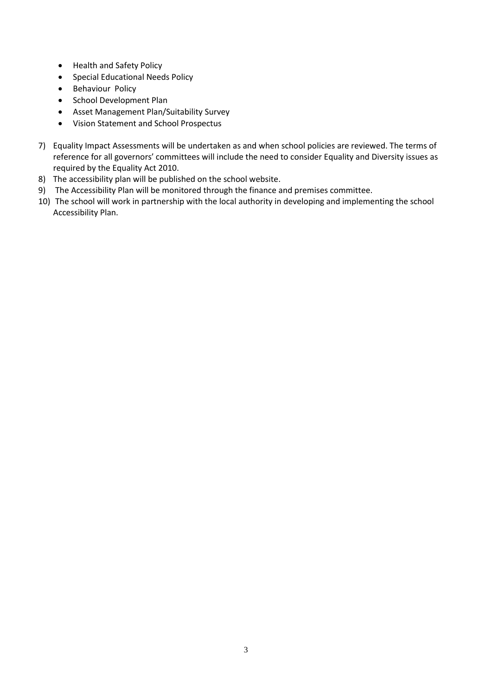- Health and Safety Policy
- Special Educational Needs Policy
- Behaviour Policy
- School Development Plan
- Asset Management Plan/Suitability Survey
- Vision Statement and School Prospectus
- 7) Equality Impact Assessments will be undertaken as and when school policies are reviewed. The terms of reference for all governors' committees will include the need to consider Equality and Diversity issues as required by the Equality Act 2010.
- 8) The accessibility plan will be published on the school website.
- 9) The Accessibility Plan will be monitored through the finance and premises committee.
- 10) The school will work in partnership with the local authority in developing and implementing the school Accessibility Plan.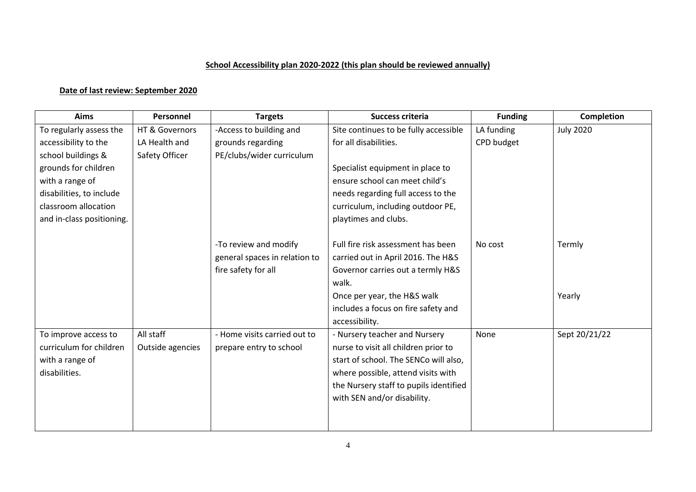## **School Accessibility plan 2020-2022 (this plan should be reviewed annually)**

# **Date of last review: September 2020**

| Aims                      | Personnel        | <b>Targets</b>                | <b>Success criteria</b>                | <b>Funding</b> | <b>Completion</b> |
|---------------------------|------------------|-------------------------------|----------------------------------------|----------------|-------------------|
| To regularly assess the   | HT & Governors   | -Access to building and       | Site continues to be fully accessible  | LA funding     | <b>July 2020</b>  |
| accessibility to the      | LA Health and    | grounds regarding             | for all disabilities.                  | CPD budget     |                   |
| school buildings &        | Safety Officer   | PE/clubs/wider curriculum     |                                        |                |                   |
| grounds for children      |                  |                               | Specialist equipment in place to       |                |                   |
| with a range of           |                  |                               | ensure school can meet child's         |                |                   |
| disabilities, to include  |                  |                               | needs regarding full access to the     |                |                   |
| classroom allocation      |                  |                               | curriculum, including outdoor PE,      |                |                   |
| and in-class positioning. |                  |                               | playtimes and clubs.                   |                |                   |
|                           |                  |                               |                                        |                |                   |
|                           |                  | -To review and modify         | Full fire risk assessment has been     | No cost        | Termly            |
|                           |                  | general spaces in relation to | carried out in April 2016. The H&S     |                |                   |
|                           |                  | fire safety for all           | Governor carries out a termly H&S      |                |                   |
|                           |                  |                               | walk.                                  |                |                   |
|                           |                  |                               | Once per year, the H&S walk            |                | Yearly            |
|                           |                  |                               | includes a focus on fire safety and    |                |                   |
|                           |                  |                               | accessibility.                         |                |                   |
| To improve access to      | All staff        | - Home visits carried out to  | - Nursery teacher and Nursery          | None           | Sept 20/21/22     |
| curriculum for children   | Outside agencies | prepare entry to school       | nurse to visit all children prior to   |                |                   |
| with a range of           |                  |                               | start of school. The SENCo will also,  |                |                   |
| disabilities.             |                  |                               | where possible, attend visits with     |                |                   |
|                           |                  |                               | the Nursery staff to pupils identified |                |                   |
|                           |                  |                               | with SEN and/or disability.            |                |                   |
|                           |                  |                               |                                        |                |                   |
|                           |                  |                               |                                        |                |                   |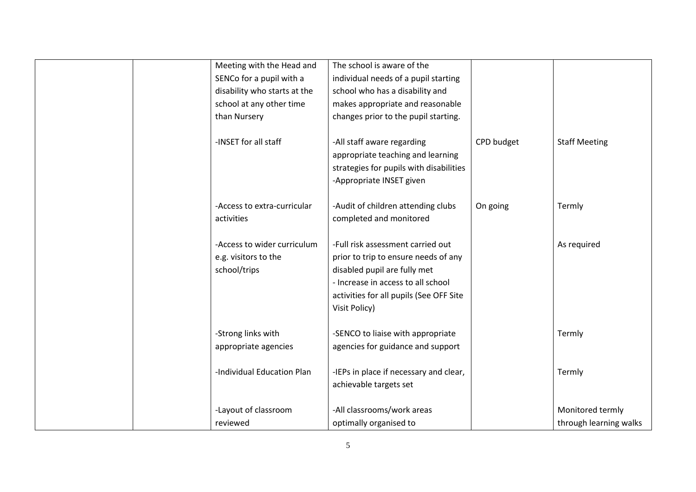| Meeting with the Head and    | The school is aware of the              |            |                        |
|------------------------------|-----------------------------------------|------------|------------------------|
| SENCo for a pupil with a     | individual needs of a pupil starting    |            |                        |
| disability who starts at the | school who has a disability and         |            |                        |
| school at any other time     | makes appropriate and reasonable        |            |                        |
| than Nursery                 | changes prior to the pupil starting.    |            |                        |
|                              |                                         |            |                        |
| -INSET for all staff         | -All staff aware regarding              | CPD budget | <b>Staff Meeting</b>   |
|                              | appropriate teaching and learning       |            |                        |
|                              | strategies for pupils with disabilities |            |                        |
|                              | -Appropriate INSET given                |            |                        |
|                              |                                         |            |                        |
| -Access to extra-curricular  | -Audit of children attending clubs      | On going   | Termly                 |
| activities                   | completed and monitored                 |            |                        |
|                              |                                         |            |                        |
| -Access to wider curriculum  | -Full risk assessment carried out       |            | As required            |
| e.g. visitors to the         | prior to trip to ensure needs of any    |            |                        |
| school/trips                 | disabled pupil are fully met            |            |                        |
|                              | - Increase in access to all school      |            |                        |
|                              | activities for all pupils (See OFF Site |            |                        |
|                              | Visit Policy)                           |            |                        |
| -Strong links with           | -SENCO to liaise with appropriate       |            | Termly                 |
| appropriate agencies         | agencies for guidance and support       |            |                        |
|                              |                                         |            |                        |
| -Individual Education Plan   | -IEPs in place if necessary and clear,  |            | Termly                 |
|                              | achievable targets set                  |            |                        |
|                              |                                         |            |                        |
| -Layout of classroom         | -All classrooms/work areas              |            | Monitored termly       |
| reviewed                     | optimally organised to                  |            | through learning walks |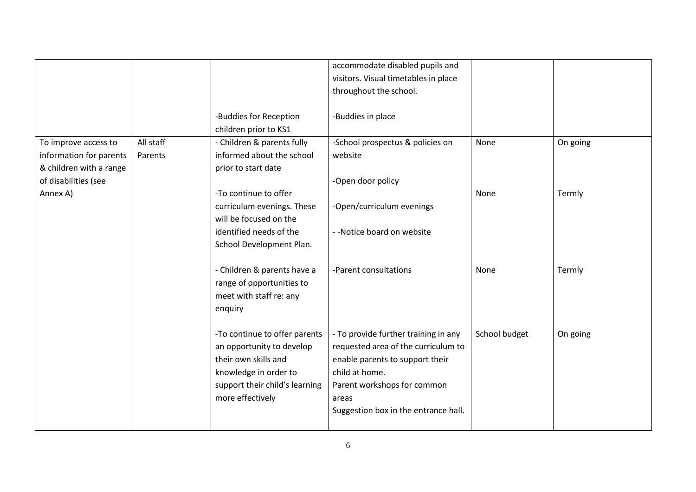|                         |           |                                | accommodate disabled pupils and      |               |          |
|-------------------------|-----------|--------------------------------|--------------------------------------|---------------|----------|
|                         |           |                                | visitors. Visual timetables in place |               |          |
|                         |           |                                | throughout the school.               |               |          |
|                         |           |                                |                                      |               |          |
|                         |           | -Buddies for Reception         | -Buddies in place                    |               |          |
|                         |           | children prior to KS1          |                                      |               |          |
| To improve access to    | All staff | - Children & parents fully     | -School prospectus & policies on     | None          | On going |
| information for parents | Parents   | informed about the school      | website                              |               |          |
| & children with a range |           | prior to start date            |                                      |               |          |
| of disabilities (see    |           |                                | -Open door policy                    |               |          |
| Annex A)                |           | -To continue to offer          |                                      | None          | Termly   |
|                         |           | curriculum evenings. These     | -Open/curriculum evenings            |               |          |
|                         |           | will be focused on the         |                                      |               |          |
|                         |           | identified needs of the        | --Notice board on website            |               |          |
|                         |           | School Development Plan.       |                                      |               |          |
|                         |           |                                |                                      |               |          |
|                         |           | - Children & parents have a    | -Parent consultations                | None          | Termly   |
|                         |           | range of opportunities to      |                                      |               |          |
|                         |           | meet with staff re: any        |                                      |               |          |
|                         |           | enquiry                        |                                      |               |          |
|                         |           |                                |                                      |               |          |
|                         |           | -To continue to offer parents  | - To provide further training in any | School budget | On going |
|                         |           | an opportunity to develop      | requested area of the curriculum to  |               |          |
|                         |           | their own skills and           | enable parents to support their      |               |          |
|                         |           | knowledge in order to          | child at home.                       |               |          |
|                         |           | support their child's learning | Parent workshops for common          |               |          |
|                         |           | more effectively               |                                      |               |          |
|                         |           |                                | areas                                |               |          |
|                         |           |                                | Suggestion box in the entrance hall. |               |          |
|                         |           |                                |                                      |               |          |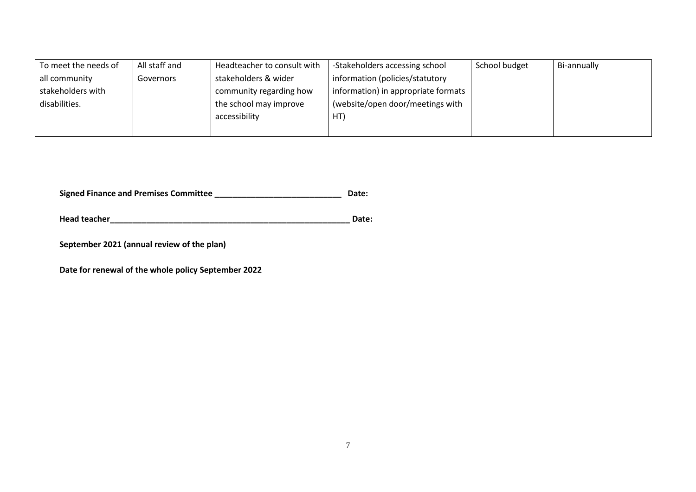| To meet the needs of | All staff and | Headteacher to consult with | -Stakeholders accessing school      | School budget | Bi-annually |
|----------------------|---------------|-----------------------------|-------------------------------------|---------------|-------------|
| all community        | Governors     | stakeholders & wider        | information (policies/statutory     |               |             |
| stakeholders with    |               | community regarding how     | information) in appropriate formats |               |             |
| disabilities.        |               | the school may improve      | (website/open door/meetings with    |               |             |
|                      |               | accessibility               | HT                                  |               |             |
|                      |               |                             |                                     |               |             |

**Signed Finance and Premises Committee \_\_\_\_\_\_\_\_\_\_\_\_\_\_\_\_\_\_\_\_\_\_\_\_\_\_\_\_ Date:** 

**Head teacher\_\_\_\_\_\_\_\_\_\_\_\_\_\_\_\_\_\_\_\_\_\_\_\_\_\_\_\_\_\_\_\_\_\_\_\_\_\_\_\_\_\_\_\_\_\_\_\_\_\_\_\_\_ Date:** 

**September 2021 (annual review of the plan)** 

**Date for renewal of the whole policy September 2022**